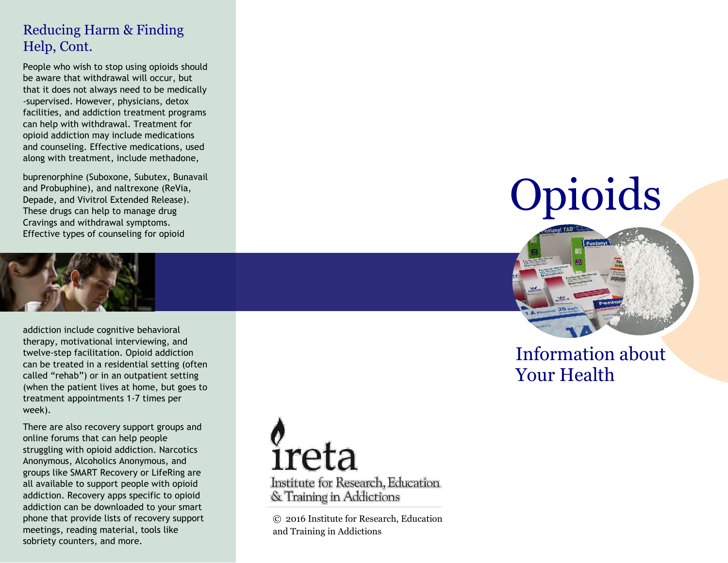## Reducing Harm & Finding Help, Cont.

People who wish to stop using opioids should be aware that withdrawal will occur, but that it does not always need to be medically -supervised. However, physicians, detox facilities, and addiction treatment programs can help with withdrawal. Treatment for opioid addiction may include medications and counseling. Effective medications, used along with treatment, include methadone,

buprenorphine (Suboxone, Subutex, Bunavail and Probuphine), and naltrexone (ReVia, Depade, and Vivitrol Extended Release). These drugs can help to manage drug Cravings and withdrawal symptoms. Effective types of counseling for opioid



addiction include cognitive behavioral therapy, motivational interviewing, and twelve-step facilitation. Opioid addiction can be treated in a residential setting (often called "rehab") or in an outpatient setting (when the patient lives at home, but goes to treatment appointments 1-7 times per week).

There are also recovery support groups and online forums that can help people struggling with opioid addiction. Narcotics Anonymous, Alcoholics Anonymous, and groups like SMART Recovery or LifeRing are all available to support people with opioid addiction. Recovery apps specific to opioid addiction can be downloaded to your smart phone that provide lists of recovery support meetings, reading material, tools like sobriety counters, and more.



© 2016 Institute for Research, Education and Training in Addictions

# **Opioids**



## Information about Your Health